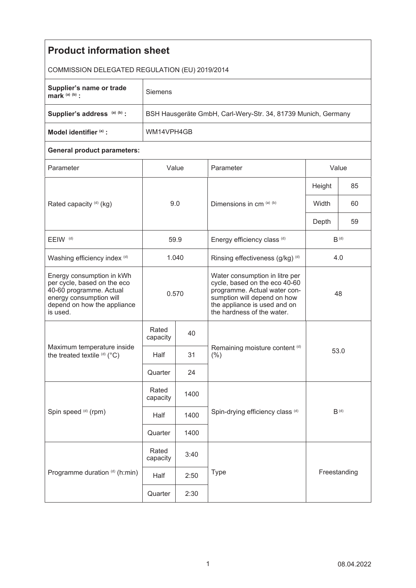| <b>Product information sheet</b>                                                                                                                          |                                                               |              |                                                                                                                                                                                              |           |              |  |  |  |
|-----------------------------------------------------------------------------------------------------------------------------------------------------------|---------------------------------------------------------------|--------------|----------------------------------------------------------------------------------------------------------------------------------------------------------------------------------------------|-----------|--------------|--|--|--|
| COMMISSION DELEGATED REGULATION (EU) 2019/2014                                                                                                            |                                                               |              |                                                                                                                                                                                              |           |              |  |  |  |
| Supplier's name or trade<br>mark $(a)$ $(b)$ :                                                                                                            | Siemens                                                       |              |                                                                                                                                                                                              |           |              |  |  |  |
| Supplier's address (a) (b) :                                                                                                                              | BSH Hausgeräte GmbH, Carl-Wery-Str. 34, 81739 Munich, Germany |              |                                                                                                                                                                                              |           |              |  |  |  |
| Model identifier (a) :                                                                                                                                    | WM14VPH4GB                                                    |              |                                                                                                                                                                                              |           |              |  |  |  |
| <b>General product parameters:</b>                                                                                                                        |                                                               |              |                                                                                                                                                                                              |           |              |  |  |  |
| Parameter                                                                                                                                                 | Value                                                         |              | Parameter                                                                                                                                                                                    | Value     |              |  |  |  |
| Rated capacity (d) (kg)                                                                                                                                   | 9.0                                                           |              | Dimensions in cm (a) (b)                                                                                                                                                                     | Height    | 85           |  |  |  |
|                                                                                                                                                           |                                                               |              |                                                                                                                                                                                              | Width     | 60           |  |  |  |
|                                                                                                                                                           |                                                               |              |                                                                                                                                                                                              | Depth     | 59           |  |  |  |
| EEIW <sup>(d)</sup>                                                                                                                                       | 59.9                                                          |              | Energy efficiency class (d)                                                                                                                                                                  | $B^{(d)}$ |              |  |  |  |
| Washing efficiency index (d)                                                                                                                              | 1.040                                                         |              | Rinsing effectiveness (g/kg) (d)                                                                                                                                                             | 4.0       |              |  |  |  |
| Energy consumption in kWh<br>per cycle, based on the eco<br>40-60 programme. Actual<br>energy consumption will<br>depend on how the appliance<br>is used. | 0.570                                                         |              | Water consumption in litre per<br>cycle, based on the eco 40-60<br>programme. Actual water con-<br>sumption will depend on how<br>the appliance is used and on<br>the hardness of the water. | 48        |              |  |  |  |
| Maximum temperature inside<br>the treated textile (d) (°C)                                                                                                | Rated<br>capacity                                             | 40           |                                                                                                                                                                                              |           |              |  |  |  |
|                                                                                                                                                           | Half                                                          | 31           | Remaining moisture content (d)<br>$(\% )$                                                                                                                                                    |           | 53.0         |  |  |  |
|                                                                                                                                                           | Quarter                                                       | 24           |                                                                                                                                                                                              |           |              |  |  |  |
| Spin speed (d) (rpm)                                                                                                                                      | Rated<br>capacity                                             | 1400         |                                                                                                                                                                                              |           |              |  |  |  |
|                                                                                                                                                           | Half                                                          | 1400         | Spin-drying efficiency class (d)                                                                                                                                                             | $B^{(d)}$ |              |  |  |  |
|                                                                                                                                                           | Quarter                                                       | 1400         |                                                                                                                                                                                              |           |              |  |  |  |
| Programme duration (d) (h:min)                                                                                                                            | Rated<br>capacity                                             | 3:40         |                                                                                                                                                                                              |           |              |  |  |  |
|                                                                                                                                                           | Half                                                          | Type<br>2:50 |                                                                                                                                                                                              |           | Freestanding |  |  |  |
|                                                                                                                                                           | Quarter                                                       | 2:30         |                                                                                                                                                                                              |           |              |  |  |  |